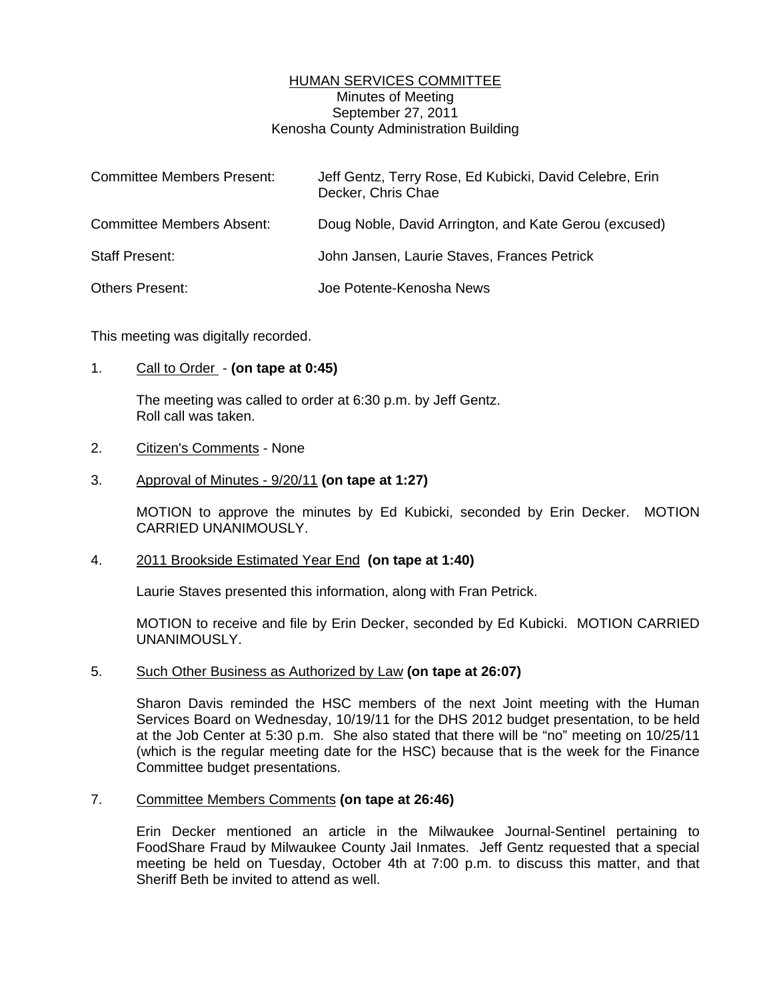## HUMAN SERVICES COMMITTEE Minutes of Meeting September 27, 2011 Kenosha County Administration Building

| <b>Committee Members Present:</b> | Jeff Gentz, Terry Rose, Ed Kubicki, David Celebre, Erin<br>Decker, Chris Chae |
|-----------------------------------|-------------------------------------------------------------------------------|
| <b>Committee Members Absent:</b>  | Doug Noble, David Arrington, and Kate Gerou (excused)                         |
| <b>Staff Present:</b>             | John Jansen, Laurie Staves, Frances Petrick                                   |
| <b>Others Present:</b>            | Joe Potente-Kenosha News                                                      |

This meeting was digitally recorded.

## 1. Call to Order - **(on tape at 0:45)**

 The meeting was called to order at 6:30 p.m. by Jeff Gentz. Roll call was taken.

#### 2. Citizen's Comments - None

## 3. Approval of Minutes - 9/20/11 **(on tape at 1:27)**

 MOTION to approve the minutes by Ed Kubicki, seconded by Erin Decker. MOTION CARRIED UNANIMOUSLY.

#### 4. 2011 Brookside Estimated Year End **(on tape at 1:40)**

Laurie Staves presented this information, along with Fran Petrick.

 MOTION to receive and file by Erin Decker, seconded by Ed Kubicki. MOTION CARRIED UNANIMOUSLY.

#### 5. Such Other Business as Authorized by Law **(on tape at 26:07)**

 Sharon Davis reminded the HSC members of the next Joint meeting with the Human Services Board on Wednesday, 10/19/11 for the DHS 2012 budget presentation, to be held at the Job Center at 5:30 p.m. She also stated that there will be "no" meeting on 10/25/11 (which is the regular meeting date for the HSC) because that is the week for the Finance Committee budget presentations.

## 7. Committee Members Comments **(on tape at 26:46)**

 Erin Decker mentioned an article in the Milwaukee Journal-Sentinel pertaining to FoodShare Fraud by Milwaukee County Jail Inmates. Jeff Gentz requested that a special meeting be held on Tuesday, October 4th at 7:00 p.m. to discuss this matter, and that Sheriff Beth be invited to attend as well.